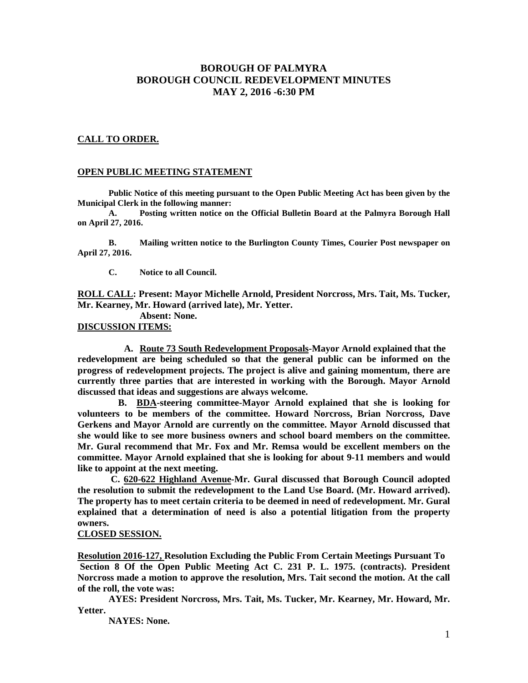## **BOROUGH OF PALMYRA BOROUGH COUNCIL REDEVELOPMENT MINUTES MAY 2, 2016 -6:30 PM**

## **CALL TO ORDER.**

## **OPEN PUBLIC MEETING STATEMENT**

**Public Notice of this meeting pursuant to the Open Public Meeting Act has been given by the Municipal Clerk in the following manner:** 

 **A. Posting written notice on the Official Bulletin Board at the Palmyra Borough Hall on April 27, 2016.** 

 **B. Mailing written notice to the Burlington County Times, Courier Post newspaper on April 27, 2016.** 

 **C. Notice to all Council.** 

**ROLL CALL: Present: Mayor Michelle Arnold, President Norcross, Mrs. Tait, Ms. Tucker, Mr. Kearney, Mr. Howard (arrived late), Mr. Yetter.**

 **Absent: None.** 

**DISCUSSION ITEMS:** 

**A. Route 73 South Redevelopment Proposals-Mayor Arnold explained that the redevelopment are being scheduled so that the general public can be informed on the progress of redevelopment projects. The project is alive and gaining momentum, there are currently three parties that are interested in working with the Borough. Mayor Arnold discussed that ideas and suggestions are always welcome.** 

 **B. BDA-steering committee-Mayor Arnold explained that she is looking for volunteers to be members of the committee. Howard Norcross, Brian Norcross, Dave Gerkens and Mayor Arnold are currently on the committee. Mayor Arnold discussed that she would like to see more business owners and school board members on the committee. Mr. Gural recommend that Mr. Fox and Mr. Remsa would be excellent members on the committee. Mayor Arnold explained that she is looking for about 9-11 members and would like to appoint at the next meeting.** 

 **C. 620-622 Highland Avenue-Mr. Gural discussed that Borough Council adopted the resolution to submit the redevelopment to the Land Use Board. (Mr. Howard arrived). The property has to meet certain criteria to be deemed in need of redevelopment. Mr. Gural explained that a determination of need is also a potential litigation from the property owners.** 

## **CLOSED SESSION.**

**Resolution 2016-127, Resolution Excluding the Public From Certain Meetings Pursuant To Section 8 Of the Open Public Meeting Act C. 231 P. L. 1975. (contracts). President Norcross made a motion to approve the resolution, Mrs. Tait second the motion. At the call of the roll, the vote was:** 

 **AYES: President Norcross, Mrs. Tait, Ms. Tucker, Mr. Kearney, Mr. Howard, Mr. Yetter.** 

 **NAYES: None.**